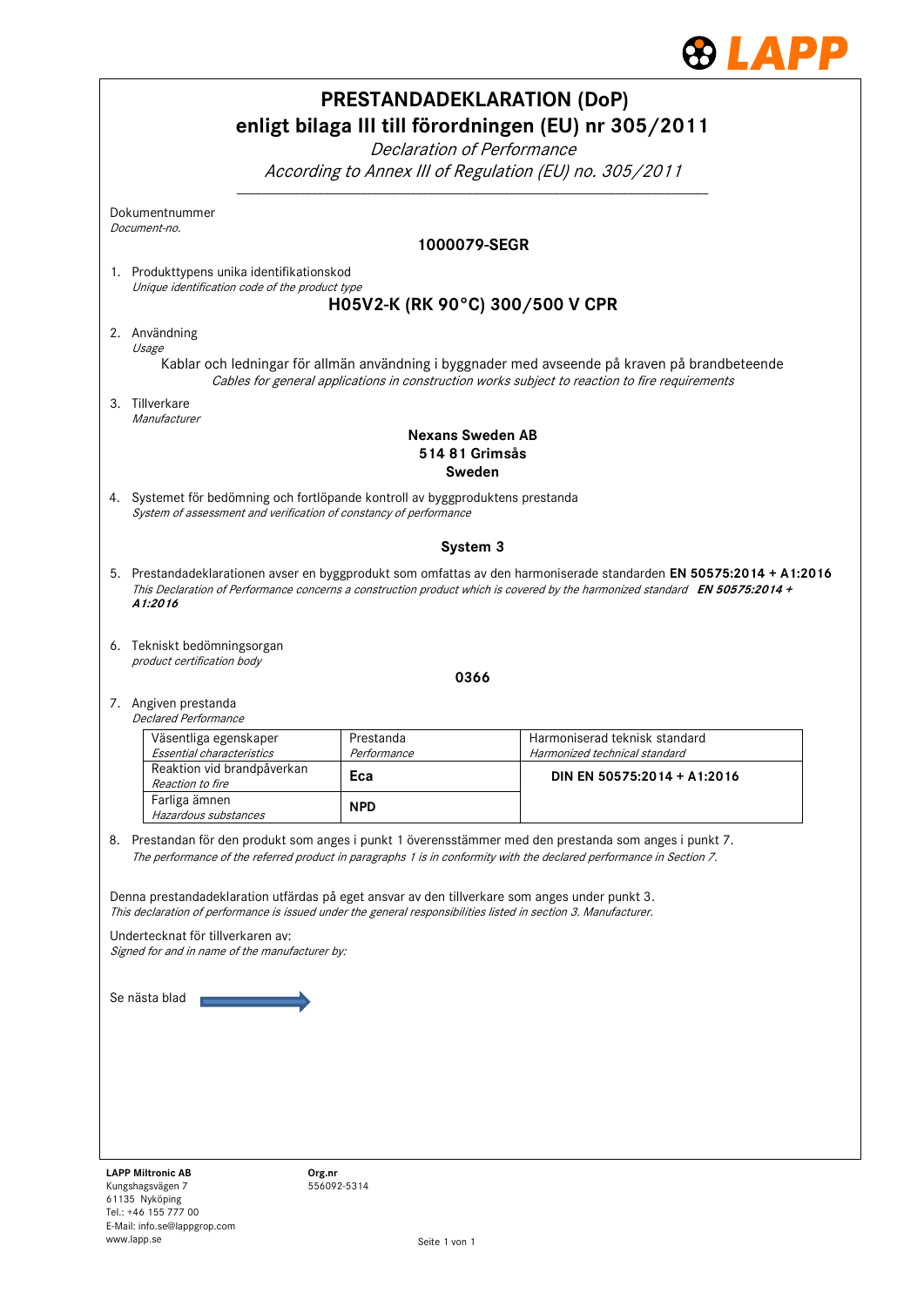

|                                                                                                                                                                                                                                 |                                                                                                                                                                                                                                                               | <b>PRESTANDADEKLARATION (DoP)</b><br>Declaration of Performance | enligt bilaga III till förordningen (EU) nr 305/2011           |  |  |  |  |
|---------------------------------------------------------------------------------------------------------------------------------------------------------------------------------------------------------------------------------|---------------------------------------------------------------------------------------------------------------------------------------------------------------------------------------------------------------------------------------------------------------|-----------------------------------------------------------------|----------------------------------------------------------------|--|--|--|--|
|                                                                                                                                                                                                                                 | According to Annex III of Regulation (EU) no. 305/2011                                                                                                                                                                                                        |                                                                 |                                                                |  |  |  |  |
|                                                                                                                                                                                                                                 | Dokumentnummer<br>Document-no.                                                                                                                                                                                                                                |                                                                 |                                                                |  |  |  |  |
|                                                                                                                                                                                                                                 |                                                                                                                                                                                                                                                               | 1000079-SEGR                                                    |                                                                |  |  |  |  |
|                                                                                                                                                                                                                                 | 1. Produkttypens unika identifikationskod<br>Unique identification code of the product type                                                                                                                                                                   |                                                                 |                                                                |  |  |  |  |
|                                                                                                                                                                                                                                 |                                                                                                                                                                                                                                                               | H05V2-K (RK 90°C) 300/500 V CPR                                 |                                                                |  |  |  |  |
|                                                                                                                                                                                                                                 | 2. Användning<br>Usage<br>Kablar och ledningar för allmän användning i byggnader med avseende på kraven på brandbeteende<br>Cables for general applications in construction works subject to reaction to fire requirements                                    |                                                                 |                                                                |  |  |  |  |
|                                                                                                                                                                                                                                 | 3. Tillverkare                                                                                                                                                                                                                                                |                                                                 |                                                                |  |  |  |  |
|                                                                                                                                                                                                                                 | Manufacturer                                                                                                                                                                                                                                                  | <b>Nexans Sweden AB</b>                                         |                                                                |  |  |  |  |
|                                                                                                                                                                                                                                 |                                                                                                                                                                                                                                                               | 514 81 Grimsås                                                  |                                                                |  |  |  |  |
|                                                                                                                                                                                                                                 |                                                                                                                                                                                                                                                               | Sweden                                                          |                                                                |  |  |  |  |
|                                                                                                                                                                                                                                 | 4. Systemet för bedömning och fortlöpande kontroll av byggproduktens prestanda<br>System of assessment and verification of constancy of performance                                                                                                           |                                                                 |                                                                |  |  |  |  |
|                                                                                                                                                                                                                                 |                                                                                                                                                                                                                                                               | System 3                                                        |                                                                |  |  |  |  |
|                                                                                                                                                                                                                                 | 5. Prestandadeklarationen avser en byggprodukt som omfattas av den harmoniserade standarden EN 50575:2014 + A1:2016<br>This Declaration of Performance concerns a construction product which is covered by the harmonized standard EN 50575:2014 +<br>A1:2016 |                                                                 |                                                                |  |  |  |  |
|                                                                                                                                                                                                                                 | 6. Tekniskt bedömningsorgan<br>product certification body                                                                                                                                                                                                     |                                                                 |                                                                |  |  |  |  |
|                                                                                                                                                                                                                                 |                                                                                                                                                                                                                                                               | 0366                                                            |                                                                |  |  |  |  |
|                                                                                                                                                                                                                                 | 7. Angiven prestanda<br>Declared Performance                                                                                                                                                                                                                  |                                                                 |                                                                |  |  |  |  |
|                                                                                                                                                                                                                                 | Väsentliga egenskaper                                                                                                                                                                                                                                         | Prestanda<br>Performance                                        | Harmoniserad teknisk standard<br>Harmonized technical standard |  |  |  |  |
|                                                                                                                                                                                                                                 | Essential characteristics<br>Reaktion vid brandpåverkan                                                                                                                                                                                                       | Eca                                                             | DIN EN 50575:2014 + A1:2016                                    |  |  |  |  |
|                                                                                                                                                                                                                                 | Reaction to fire<br>Farliga ämnen                                                                                                                                                                                                                             |                                                                 |                                                                |  |  |  |  |
|                                                                                                                                                                                                                                 | Hazardous substances                                                                                                                                                                                                                                          | <b>NPD</b>                                                      |                                                                |  |  |  |  |
| 8. Prestandan för den produkt som anges i punkt 1 överensstämmer med den prestanda som anges i punkt 7.<br>The performance of the referred product in paragraphs 1 is in conformity with the declared performance in Section 7. |                                                                                                                                                                                                                                                               |                                                                 |                                                                |  |  |  |  |
| Denna prestandadeklaration utfärdas på eget ansvar av den tillverkare som anges under punkt 3.<br>This declaration of performance is issued under the general responsibilities listed in section 3. Manufacturer.               |                                                                                                                                                                                                                                                               |                                                                 |                                                                |  |  |  |  |
|                                                                                                                                                                                                                                 | Undertecknat för tillverkaren av:<br>Signed for and in name of the manufacturer by:                                                                                                                                                                           |                                                                 |                                                                |  |  |  |  |
| Se nästa blad                                                                                                                                                                                                                   |                                                                                                                                                                                                                                                               |                                                                 |                                                                |  |  |  |  |
|                                                                                                                                                                                                                                 |                                                                                                                                                                                                                                                               |                                                                 |                                                                |  |  |  |  |
|                                                                                                                                                                                                                                 |                                                                                                                                                                                                                                                               |                                                                 |                                                                |  |  |  |  |
|                                                                                                                                                                                                                                 |                                                                                                                                                                                                                                                               |                                                                 |                                                                |  |  |  |  |
|                                                                                                                                                                                                                                 |                                                                                                                                                                                                                                                               |                                                                 |                                                                |  |  |  |  |
|                                                                                                                                                                                                                                 |                                                                                                                                                                                                                                                               |                                                                 |                                                                |  |  |  |  |
|                                                                                                                                                                                                                                 | <b>LAPP Miltronic AB</b><br>Org.nr<br>Kungshagsvägen 7<br>61135 Nyköping                                                                                                                                                                                      | 556092-5314                                                     |                                                                |  |  |  |  |

Tel.: +46 155 777 00 E-Mail: info.se@lappgrop.com

www.lapp.se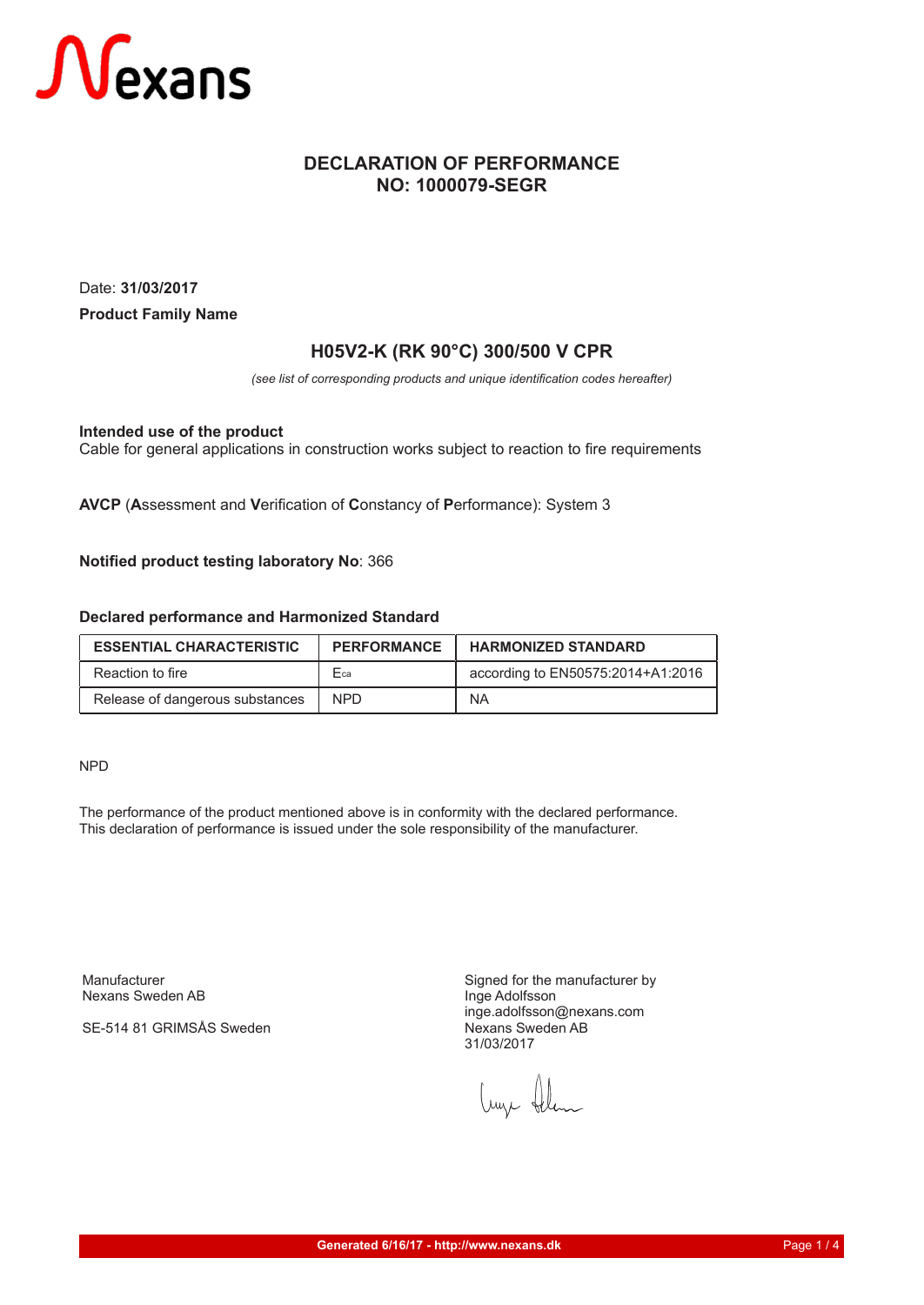

## **DECLARATION OF PERFORMANCE NO: 1000079-SEGR**

Date: **31/03/2017 Product Family Name**

## **H05V2-K (RK 90°C) 300/500 V CPR**

*(see list of corresponding products and unique identification codes hereafter)*

**Intended use of the product**

Cable for general applications in construction works subject to reaction to fire requirements

**AVCP** (**A**ssessment and **V**erification of **C**onstancy of **P**erformance): System 3

**Notified product testing laboratory No**: 366

### **Declared performance and Harmonized Standard**

| <b>ESSENTIAL CHARACTERISTIC</b> | <b>PERFORMANCE</b> | <b>HARMONIZED STANDARD</b>        |
|---------------------------------|--------------------|-----------------------------------|
| Reaction to fire                | Fca                | according to EN50575:2014+A1:2016 |
| Release of dangerous substances | NPD.               | <b>NA</b>                         |

NPD

The performance of the product mentioned above is in conformity with the declared performance. This declaration of performance is issued under the sole responsibility of the manufacturer.

Manufacturer Nexans Sweden AB

SE-514 81 GRIMSÅS Sweden

Signed for the manufacturer by Inge Adolfsson inge.adolfsson@nexans.com Nexans Sweden AB 31/03/2017

Luze Alem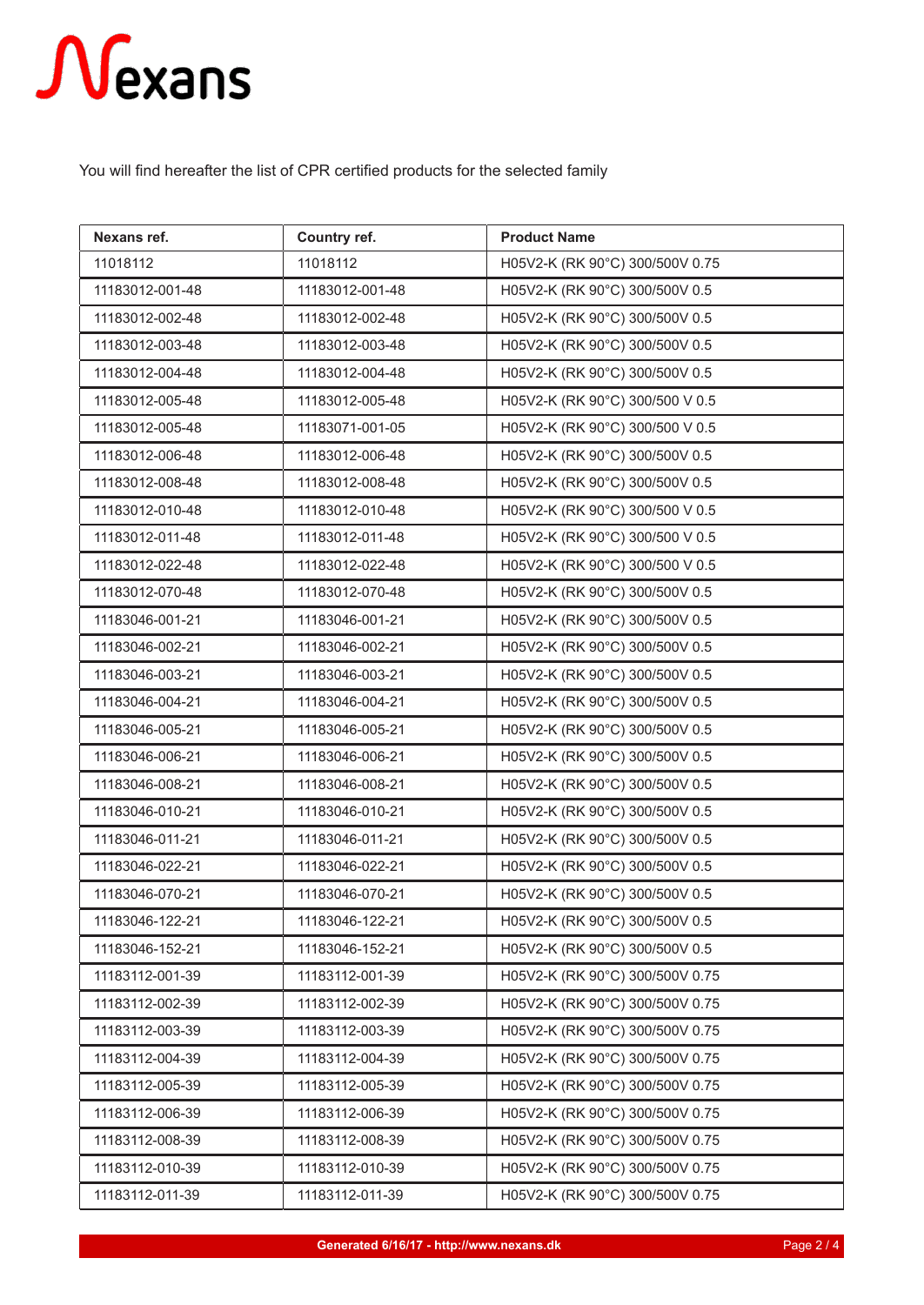## Nexans

You will find hereafter the list of CPR certified products for the selected family

| Nexans ref.     | Country ref.    | <b>Product Name</b>             |
|-----------------|-----------------|---------------------------------|
| 11018112        | 11018112        | H05V2-K (RK 90°C) 300/500V 0.75 |
| 11183012-001-48 | 11183012-001-48 | H05V2-K (RK 90°C) 300/500V 0.5  |
| 11183012-002-48 | 11183012-002-48 | H05V2-K (RK 90°C) 300/500V 0.5  |
| 11183012-003-48 | 11183012-003-48 | H05V2-K (RK 90°C) 300/500V 0.5  |
| 11183012-004-48 | 11183012-004-48 | H05V2-K (RK 90°C) 300/500V 0.5  |
| 11183012-005-48 | 11183012-005-48 | H05V2-K (RK 90°C) 300/500 V 0.5 |
| 11183012-005-48 | 11183071-001-05 | H05V2-K (RK 90°C) 300/500 V 0.5 |
| 11183012-006-48 | 11183012-006-48 | H05V2-K (RK 90°C) 300/500V 0.5  |
| 11183012-008-48 | 11183012-008-48 | H05V2-K (RK 90°C) 300/500V 0.5  |
| 11183012-010-48 | 11183012-010-48 | H05V2-K (RK 90°C) 300/500 V 0.5 |
| 11183012-011-48 | 11183012-011-48 | H05V2-K (RK 90°C) 300/500 V 0.5 |
| 11183012-022-48 | 11183012-022-48 | H05V2-K (RK 90°C) 300/500 V 0.5 |
| 11183012-070-48 | 11183012-070-48 | H05V2-K (RK 90°C) 300/500V 0.5  |
| 11183046-001-21 | 11183046-001-21 | H05V2-K (RK 90°C) 300/500V 0.5  |
| 11183046-002-21 | 11183046-002-21 | H05V2-K (RK 90°C) 300/500V 0.5  |
| 11183046-003-21 | 11183046-003-21 | H05V2-K (RK 90°C) 300/500V 0.5  |
| 11183046-004-21 | 11183046-004-21 | H05V2-K (RK 90°C) 300/500V 0.5  |
| 11183046-005-21 | 11183046-005-21 | H05V2-K (RK 90°C) 300/500V 0.5  |
| 11183046-006-21 | 11183046-006-21 | H05V2-K (RK 90°C) 300/500V 0.5  |
| 11183046-008-21 | 11183046-008-21 | H05V2-K (RK 90°C) 300/500V 0.5  |
| 11183046-010-21 | 11183046-010-21 | H05V2-K (RK 90°C) 300/500V 0.5  |
| 11183046-011-21 | 11183046-011-21 | H05V2-K (RK 90°C) 300/500V 0.5  |
| 11183046-022-21 | 11183046-022-21 | H05V2-K (RK 90°C) 300/500V 0.5  |
| 11183046-070-21 | 11183046-070-21 | H05V2-K (RK 90°C) 300/500V 0.5  |
| 11183046-122-21 | 11183046-122-21 | H05V2-K (RK 90°C) 300/500V 0.5  |
| 11183046-152-21 | 11183046-152-21 | H05V2-K (RK 90°C) 300/500V 0.5  |
| 11183112-001-39 | 11183112-001-39 | H05V2-K (RK 90°C) 300/500V 0.75 |
| 11183112-002-39 | 11183112-002-39 | H05V2-K (RK 90°C) 300/500V 0.75 |
| 11183112-003-39 | 11183112-003-39 | H05V2-K (RK 90°C) 300/500V 0.75 |
| 11183112-004-39 | 11183112-004-39 | H05V2-K (RK 90°C) 300/500V 0.75 |
| 11183112-005-39 | 11183112-005-39 | H05V2-K (RK 90°C) 300/500V 0.75 |
| 11183112-006-39 | 11183112-006-39 | H05V2-K (RK 90°C) 300/500V 0.75 |
| 11183112-008-39 | 11183112-008-39 | H05V2-K (RK 90°C) 300/500V 0.75 |
| 11183112-010-39 | 11183112-010-39 | H05V2-K (RK 90°C) 300/500V 0.75 |
| 11183112-011-39 | 11183112-011-39 | H05V2-K (RK 90°C) 300/500V 0.75 |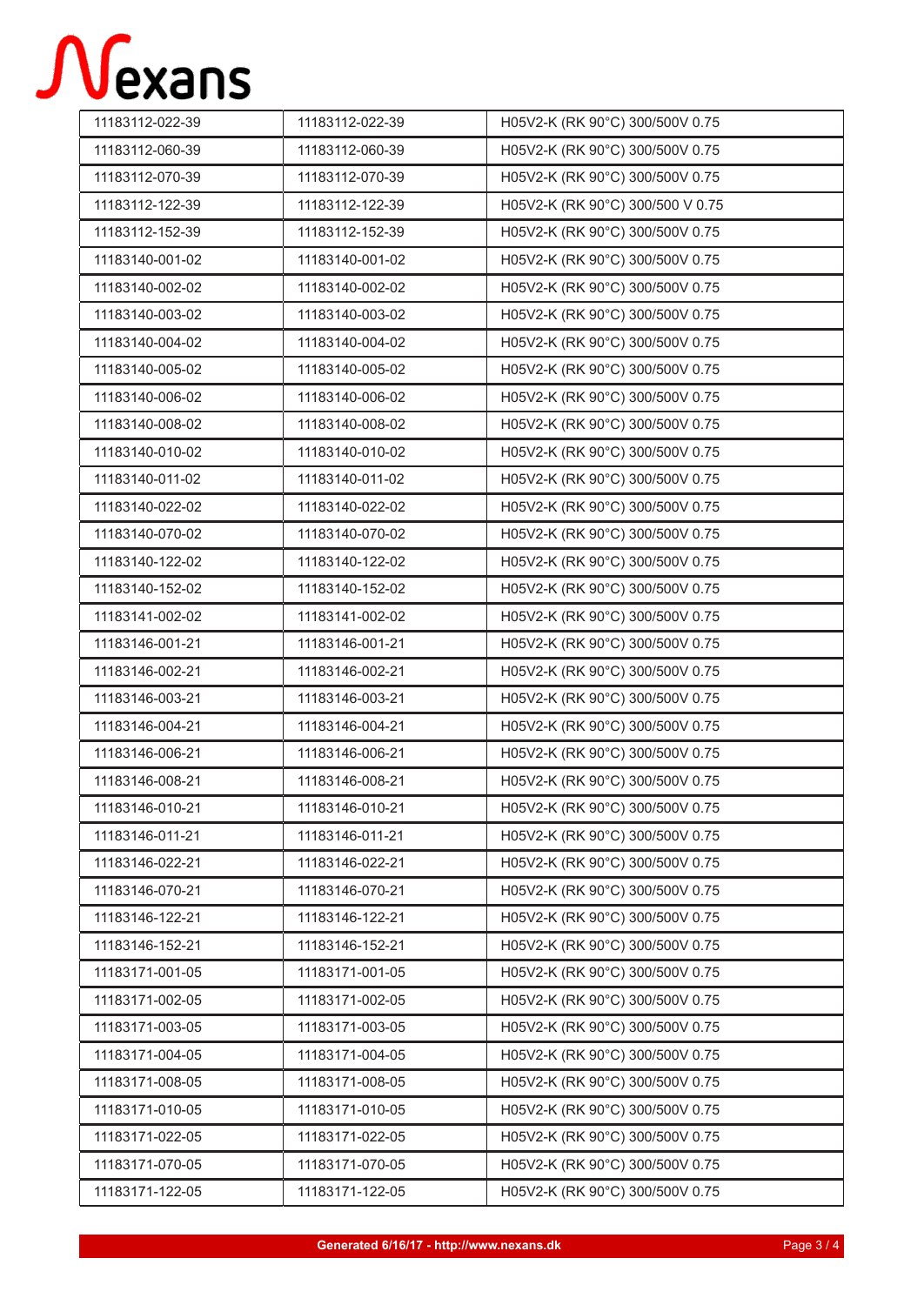## Nexans

| 11183112-022-39 | 11183112-022-39 | H05V2-K (RK 90°C) 300/500V 0.75  |
|-----------------|-----------------|----------------------------------|
| 11183112-060-39 | 11183112-060-39 | H05V2-K (RK 90°C) 300/500V 0.75  |
| 11183112-070-39 | 11183112-070-39 | H05V2-K (RK 90°C) 300/500V 0.75  |
| 11183112-122-39 | 11183112-122-39 | H05V2-K (RK 90°C) 300/500 V 0.75 |
| 11183112-152-39 | 11183112-152-39 | H05V2-K (RK 90°C) 300/500V 0.75  |
| 11183140-001-02 | 11183140-001-02 | H05V2-K (RK 90°C) 300/500V 0.75  |
| 11183140-002-02 | 11183140-002-02 | H05V2-K (RK 90°C) 300/500V 0.75  |
| 11183140-003-02 | 11183140-003-02 | H05V2-K (RK 90°C) 300/500V 0.75  |
| 11183140-004-02 | 11183140-004-02 | H05V2-K (RK 90°C) 300/500V 0.75  |
| 11183140-005-02 | 11183140-005-02 | H05V2-K (RK 90°C) 300/500V 0.75  |
| 11183140-006-02 | 11183140-006-02 | H05V2-K (RK 90°C) 300/500V 0.75  |
| 11183140-008-02 | 11183140-008-02 | H05V2-K (RK 90°C) 300/500V 0.75  |
| 11183140-010-02 | 11183140-010-02 | H05V2-K (RK 90°C) 300/500V 0.75  |
| 11183140-011-02 | 11183140-011-02 | H05V2-K (RK 90°C) 300/500V 0.75  |
| 11183140-022-02 | 11183140-022-02 | H05V2-K (RK 90°C) 300/500V 0.75  |
| 11183140-070-02 | 11183140-070-02 | H05V2-K (RK 90°C) 300/500V 0.75  |
| 11183140-122-02 | 11183140-122-02 | H05V2-K (RK 90°C) 300/500V 0.75  |
| 11183140-152-02 | 11183140-152-02 | H05V2-K (RK 90°C) 300/500V 0.75  |
| 11183141-002-02 | 11183141-002-02 | H05V2-K (RK 90°C) 300/500V 0.75  |
| 11183146-001-21 | 11183146-001-21 | H05V2-K (RK 90°C) 300/500V 0.75  |
| 11183146-002-21 | 11183146-002-21 | H05V2-K (RK 90°C) 300/500V 0.75  |
| 11183146-003-21 | 11183146-003-21 | H05V2-K (RK 90°C) 300/500V 0.75  |
| 11183146-004-21 | 11183146-004-21 | H05V2-K (RK 90°C) 300/500V 0.75  |
| 11183146-006-21 | 11183146-006-21 | H05V2-K (RK 90°C) 300/500V 0.75  |
| 11183146-008-21 | 11183146-008-21 | H05V2-K (RK 90°C) 300/500V 0.75  |
| 11183146-010-21 | 11183146-010-21 | H05V2-K (RK 90°C) 300/500V 0.75  |
| 11183146-011-21 | 11183146-011-21 | H05V2-K (RK 90°C) 300/500V 0.75  |
| 11183146-022-21 | 11183146-022-21 | H05V2-K (RK 90°C) 300/500V 0.75  |
| 11183146-070-21 | 11183146-070-21 | H05V2-K (RK 90°C) 300/500V 0.75  |
| 11183146-122-21 | 11183146-122-21 | H05V2-K (RK 90°C) 300/500V 0.75  |
| 11183146-152-21 | 11183146-152-21 | H05V2-K (RK 90°C) 300/500V 0.75  |
| 11183171-001-05 | 11183171-001-05 | H05V2-K (RK 90°C) 300/500V 0.75  |
| 11183171-002-05 | 11183171-002-05 | H05V2-K (RK 90°C) 300/500V 0.75  |
| 11183171-003-05 | 11183171-003-05 | H05V2-K (RK 90°C) 300/500V 0.75  |
| 11183171-004-05 | 11183171-004-05 | H05V2-K (RK 90°C) 300/500V 0.75  |
| 11183171-008-05 | 11183171-008-05 | H05V2-K (RK 90°C) 300/500V 0.75  |
| 11183171-010-05 | 11183171-010-05 | H05V2-K (RK 90°C) 300/500V 0.75  |
| 11183171-022-05 | 11183171-022-05 | H05V2-K (RK 90°C) 300/500V 0.75  |
| 11183171-070-05 | 11183171-070-05 | H05V2-K (RK 90°C) 300/500V 0.75  |
| 11183171-122-05 | 11183171-122-05 | H05V2-K (RK 90°C) 300/500V 0.75  |